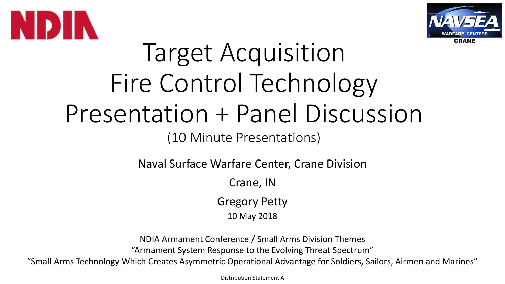



## Target Acquisition Fire Control Technology Presentation + Panel Discussion

(10 Minute Presentations)

Naval Surface Warfare Center, Crane Division

Crane, IN

Gregory Petty

10 May 2018

NDIA Armament Conference / Small Arms Division Themes "Armament System Response to the Evolving Threat Spectrum"

"Small Arms Technology Which Creates Asymmetric Operational Advantage for Soldiers, Sailors, Airmen and Marines"

Distribution Statement A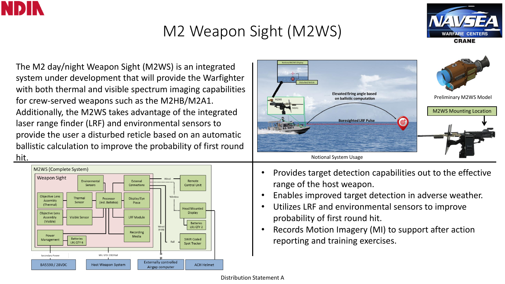

## M2 Weapon Sight (M2WS)



The M2 day/night Weapon Sight (M2WS) is an integrated system under development that will provide the Warfighter with both thermal and visible spectrum imaging capabilities for crew-served weapons such as the M2HB/M2A1. Additionally, the M2WS takes advantage of the integrated laser range finder (LRF) and environmental sensors to provide the user a disturbed reticle based on an automatic ballistic calculation to improve the probability of first round hit.





- Provides target detection capabilities out to the effective range of the host weapon.
- Enables improved target detection in adverse weather.
- Utilizes LRF and environmental sensors to improve probability of first round hit.
- Records Motion Imagery (MI) to support after action reporting and training exercises.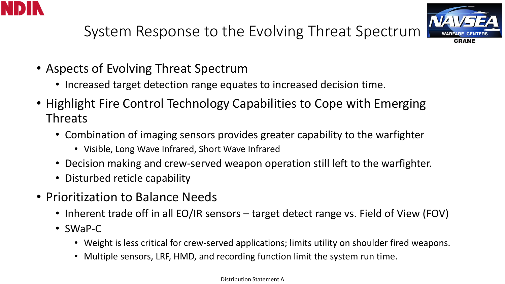



System Response to the Evolving Threat Spectrum

- Aspects of Evolving Threat Spectrum
	- Increased target detection range equates to increased decision time.
- Highlight Fire Control Technology Capabilities to Cope with Emerging Threats
	- Combination of imaging sensors provides greater capability to the warfighter
		- Visible, Long Wave Infrared, Short Wave Infrared
	- Decision making and crew-served weapon operation still left to the warfighter.
	- Disturbed reticle capability
- Prioritization to Balance Needs
	- Inherent trade off in all EO/IR sensors target detect range vs. Field of View (FOV)
	- SWaP-C
		- Weight is less critical for crew-served applications; limits utility on shoulder fired weapons.
		- Multiple sensors, LRF, HMD, and recording function limit the system run time.